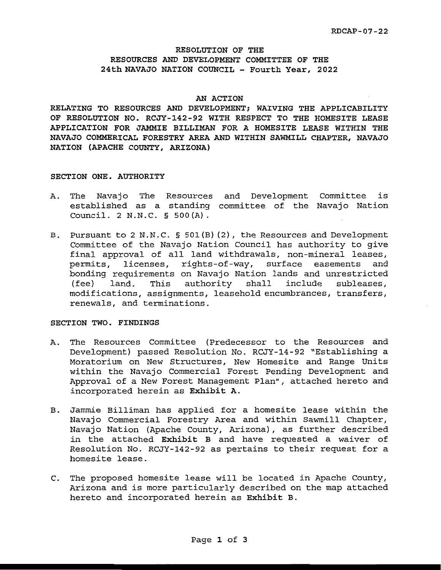#### RESOLUTION OF THE RESOURCES AND DEVELOPMENT COMMITTEE OF THE 24th NAVAJO NATION COUNCIL - Fourth Year, 2022

#### **AN ACTION**

**RELATING TO RESOURCES AND DEVELOPMENT; WAIVING THE APPLICABILITY OF RESOLUTION NO. RCJY-142-92 WITH RESPECT TO THE HOMESITE LEASE APPLICATION FOR JAMMIE BILLIMAN FOR A HOMESITE LEASE WITHIN THE NAVAJO COMMERICAL FORESTRY AREA AND WITHIN SAWMILL CHAPTER, NAVAJO NATION (APACHE COUNTY, ARIZONA)** 

#### **SECTION ONE. AUTHORITY**

- A. The Navajo The Resources and Development Committee is established as a standing committee of the Navajo Nation **Council. 2 N.N.C.** § **S00(A).**
- B. Pursuant to 2 N.N.C. § 501(B) (2), the Resources and Development Committee of the Navajo Nation Council has authority to give final approval of all land withdrawals, non-mineral leases, permits, licenses, rights-of-way, surface easements and bonding requirements on Navajo Nation lands and unrestricted<br>(fee) land. This authority shall include subleases,  $(fee)$  land. This authority shall include modifications, assignments, leasehold encumbrances, transfers, renewals, and terminations.

#### **SECTION TWO. FINDINGS**

- A. The Resources Committee (Predecessor to the Resources and Development) passed Resolution No. RCJY-14-92 ~Establishing a Moratorium on New Structures, New Homesite and Range Units within the Navajo Commercial Forest Pending Development and Approval of a New Forest Management Plan", attached hereto and incorporated herein as **Exhibit A.**
- B. Jammie Billiman has applied for a homesite lease within the Navajo Commercial Forestry Area and within Sawmill Chapter, Navajo Nation (Apache County, Arizona), as further described in the attached **Exhibit B** and have requested a waiver of Resolution No. RCJY-142-92 as pertains to their request for a homesite lease.
- C. The proposed homesite lease will be located in Apache County, Arizona and is more particularly described on the map attached hereto and incorporated herein as **Exhibit** B.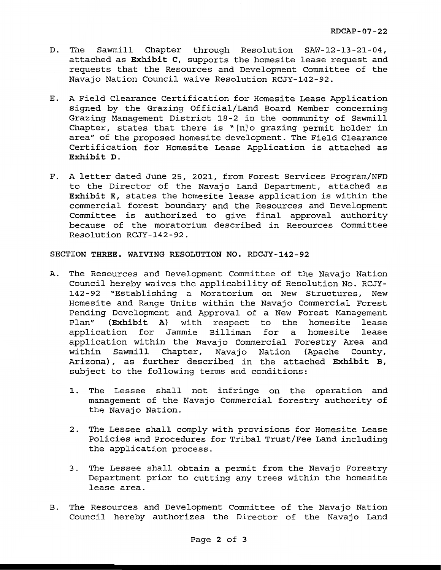- D. The Sawmill Chapter through Resolution SAW-12-13-21-04, attached as **Exhibit C,** supports the homesite lease request and requests that the Resources and Development Committee of the Navajo Nation Council waive Resolution RCJY-142-92.
- E. A Field Clearance Certification for Homesite Lease Application signed by the Grazing Official/Land Board Member concerning Grazing Management District 18-2 in the community of Sawmill Chapter, states that there is "[n]o grazing permit holder in area" of the proposed homesite development. The Field Clearance Certification for Homesite Lease Application is attached as **Exhibit D.**
- F. A letter dated June 25, 2021, from Forest Services Program/NFD to the Director of the Navajo Land Department, attached as **Exhibit E,** states the homesite lease application is within the commercial forest boundary and the Resources and Development Committee is authorized to give final approval authority because of the moratorium described in Resources Committee Resolution RCJY-142-92.

**SECTION THREE. WAIVING RESOLUTION NO. RDCJY-142-92** 

- A. The Resources and Development Committee of the Navajo Nation Council hereby waives the applicability of Resolution No. RCJY-142-92 "Establishing a Moratorium on New Structures, New Homesite and Range Units within the Navajo Commercial Forest Pending Development and Approval of a New Forest Management Plan" **(Exhibit A)** with respect to the homesite lease application for Jammie Billiman for a homesite lease application within the Navajo Commercial Forestry Area and within Sawmill Chapter, Navajo Nation (Apache County, Arizona), as further described in the attached **Exhibit B,**  subject to the following terms and conditions:
	- 1. The Lessee shall not infringe on the operation and management of the Navajo Commercial forestry authority of the Navajo Nation.
	- 2. The Lessee shall comply with provisions for Homesite Lease Policies and Procedures for Tribal Trust/Fee Land including the application process.
	- 3. The Lessee shall obtain a permit from the Navajo Forestry Department prior to cutting any trees within the homesite lease area.
- B. The Resources and Development Committee of the Navajo Nation Council hereby authorizes the Director of the Navajo Land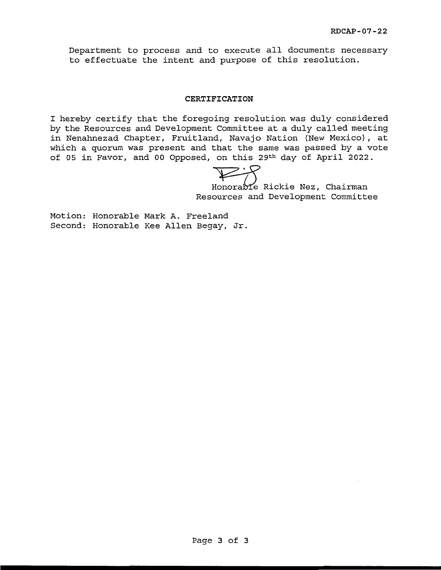Department to process and to execute all documents necessary to effectuate the intent and purpose of this resolution.

#### **CERTIFICATION**

I hereby certify that the foregoing resolution was duly considered by the Resources and Development Committee at a duly called meeting in Nenahnezad Chapter, Fruitland, Navajo Nation (New Mexico), at which a quorum was present and that the same was passed by a vote of OS in Favor, and oo Opposed, on this 29th day of April 2022.

Honorable Rickie Nez, Chairman Resources and Development Committee

Motion: Honorable Mark A. Freeland Second: Honorable Kee Allen Begay, Jr.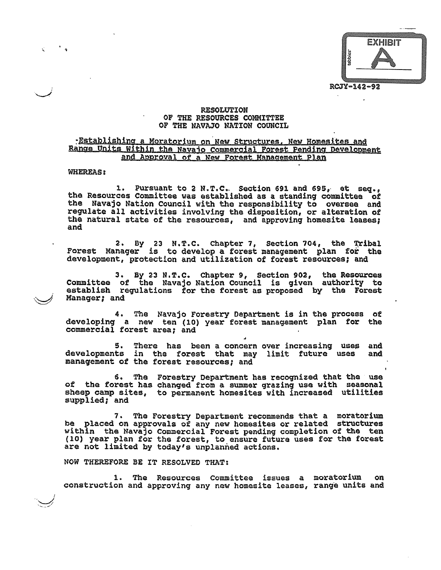**EXHIBIT** RCJY-142-92

#### **RESOLUTION** OF THE RESOURCES COMMITTEE OF THE NAVAJO NATION COUNCIL

#### Establishing a Moratorium on New Structures. New Homesites and Range Units Within the Navajo Commercial Forest Pending Development and Approval of a New Forest Management Plan

#### **WHEREAS:**

1. Pursuant to 2 N.T.C. Section 691 and 695, et seg., the Resources Committee was established as a standing committee of the Navajo Nation Council with the responsibility to oversee and regulate all activities involving the disposition, or alteration of the natural state of the resources, and approving homesite leases; and

2. By 23 N.T.C. Chapter 7, Section 704, the Tribal Manager is to develop a forest management plan for the Forest development, protection and utilization of forest resources; and

3. By 23 N.T.C. Chapter 9, Section 902, the Resources<br>Committee of the Navajo Nation Council is given authority to<br>establish regulations for the forest as proposed by the Forest Manager; and

4. The Navajo Forestry Department is in the process of developing a new ten (10) year forest management plan for the commercial forest area; and

5. There has been a concern over increasing uses and<br>developments in the forest that may limit future uses and management of the forest resources; and

6. The Forestry Department has recognized that the use of the forest has changed from a summer grazing use with seasonal sheep camp sites, to permanent homesites with increased utilities supplied; and

7. The Forestry Department recommends that a moratorium be placed on approvals of any new homesites or related structures within the Navajo Commercial Forest pending completion of the ten (10) year plan for the forest, to ensure future uses for the forest are not limited by today's unplanned actions.

NOW THEREFORE BE IT RESOLVED THAT:

1. The Resources Committee issues a moratorium construction and approving any new homesite leases, range units and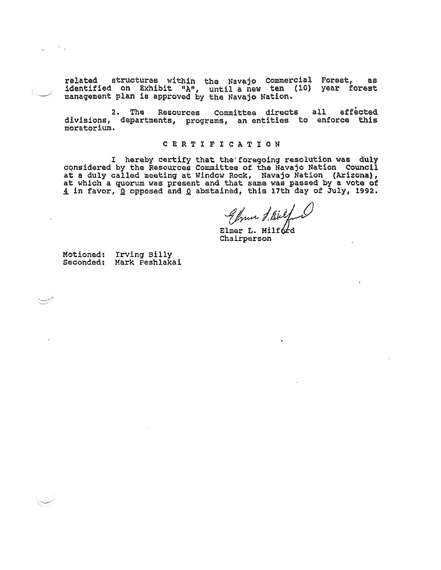related structures within the Navajo Commercial Forest, as<br>identified on Exhibit "A", until a new ten (10) year forest<br>management plan is approved by the Navajo Nation.

2. The Resources Committee directs all affected divisions, departments, programs, an entities to enforce this moratorium.

#### **CERTIFICATION**

I hereby certify that the foregoing resolution was duly considered by the Resources Committee of the Navajo Nation Council at a duly called meeting at Window Rock, Navajo Nation (Arizona), at which a quorum was present and

Chrun d'Airelf

Chairperson

Motioned: Irving Billy<br>Seconded: Mark Peshlakai

 $\label{eq:1} g_{\alpha} = \frac{1}{\alpha} \left( \frac{1}{\alpha} \right)$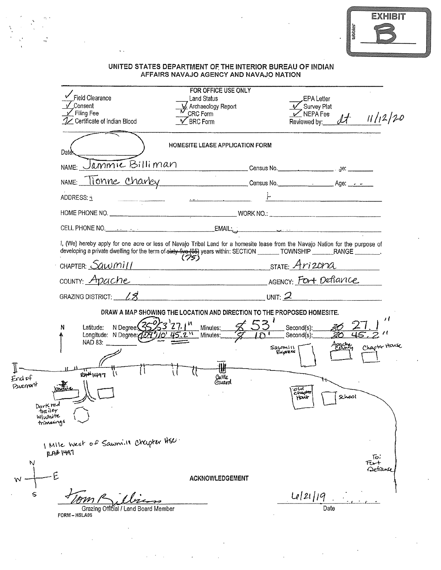|         | <b>EXHIBIT</b> |  |
|---------|----------------|--|
| tabbies |                |  |
|         |                |  |
|         |                |  |

## UNITED STATES DEPARTMENT OF THE INTERIOR BUREAU OF INDIAN<br>AFFAIRS NAVAJO AGENCY AND NAVAJO NATION

 $\frac{1}{\sqrt{4}}$ 

 $\ddotsc$ 

|                                                                  | <b>Field Clearance</b><br>Consent<br>∠ Filing Fee<br>1/ Certificate of Indian Blood<br>BRC Form                                                                                                                                                                                                                                                                                                                                                                                                                                                         | FOR OFFICE USE ONLY<br>Land Status<br>Archaeology Report<br>CRC Form | EPA Letter<br>Survey Plat<br>$\sqrt{NEPA}$ Fee<br>Reviewed by:                | $dt = 11/12/20$                          |
|------------------------------------------------------------------|---------------------------------------------------------------------------------------------------------------------------------------------------------------------------------------------------------------------------------------------------------------------------------------------------------------------------------------------------------------------------------------------------------------------------------------------------------------------------------------------------------------------------------------------------------|----------------------------------------------------------------------|-------------------------------------------------------------------------------|------------------------------------------|
|                                                                  | Date                                                                                                                                                                                                                                                                                                                                                                                                                                                                                                                                                    | HOMESITE LEASE APPLICATION FORM                                      |                                                                               |                                          |
|                                                                  | NAME: Jammie Billiman                                                                                                                                                                                                                                                                                                                                                                                                                                                                                                                                   |                                                                      |                                                                               |                                          |
|                                                                  | NAME: Tionne Charley Consumers Consus No. Age:                                                                                                                                                                                                                                                                                                                                                                                                                                                                                                          |                                                                      |                                                                               |                                          |
|                                                                  | ADDRESS: 1<br>$\label{eq:3.1} \begin{minipage}{0.9\linewidth} \begin{minipage}{0.9\linewidth} \begin{minipage}{0.9\linewidth} \end{minipage} \begin{minipage}{0.9\linewidth} \begin{minipage}{0.9\linewidth} \end{minipage} \begin{minipage}{0.9\linewidth} \begin{minipage}{0.9\linewidth} \end{minipage} \begin{minipage}{0.9\linewidth} \end{minipage} \begin{minipage}{0.9\linewidth} \end{minipage} \begin{minipage}{0.9\linewidth} \end{minipage} \begin{minipage}{0.9\linewidth} \begin{minipage}{0.9\linewidth} \end{minipage} \begin{minipage$ |                                                                      |                                                                               |                                          |
|                                                                  |                                                                                                                                                                                                                                                                                                                                                                                                                                                                                                                                                         |                                                                      |                                                                               |                                          |
|                                                                  |                                                                                                                                                                                                                                                                                                                                                                                                                                                                                                                                                         |                                                                      |                                                                               |                                          |
|                                                                  | 1, (We) hereby apply for one acre or less of Navajo Tribal Land for a homesite lease from the Navajo Nation for the purpose of<br>developing a private dwelling for the term of sixty five (65) years within: SECTION ________TOWNSHIP _______RANGE _______.                                                                                                                                                                                                                                                                                            |                                                                      |                                                                               |                                          |
|                                                                  | CHAPTER: $Sawmil$                                                                                                                                                                                                                                                                                                                                                                                                                                                                                                                                       | STATE: <u>Arizona</u>                                                |                                                                               |                                          |
|                                                                  | COUNTY: Apache                                                                                                                                                                                                                                                                                                                                                                                                                                                                                                                                          |                                                                      |                                                                               |                                          |
|                                                                  | GRAZING DISTRICT: $\angle$ 3                                                                                                                                                                                                                                                                                                                                                                                                                                                                                                                            |                                                                      |                                                                               |                                          |
| Endof<br>Puerrant<br>Dark red<br>trailer<br>Www.te<br>trimanings | DRAW A MAP SHOWING THE LOCATION AND DIRECTION TO THE PROPOSED HOMESITE.<br>N Degree (35%3'27.1"<br>Latitude:<br>N<br>Longitude: N Degree (179910' 45.2" Minutes: 5<br>NAD 83: $\qquad$<br>$P$ $P$ $P$ $P$ $P$ $P$ $P$ $T$                                                                                                                                                                                                                                                                                                                               | $\leq 53'$ Second(s):<br>Minutes:<br>Catile<br>Gward                 | $\sqrt{1 \cap 1}$ Second(s):<br>Sawmill<br>Express<br>olot<br>المهمدح<br>Hair | 11<br>Chapter House<br>Apache,<br>School |
| N<br>w<br>s                                                      | I Mile west of Sawmill Crapter HSC.<br><b>12AB 1497</b><br>Grazing Official / Land Board Member<br>FORM - HSLA06                                                                                                                                                                                                                                                                                                                                                                                                                                        | ACKNOWLEDGEMENT                                                      | Le/21/19<br>Date                                                              | ि,<br>Fu+<br>Detian                      |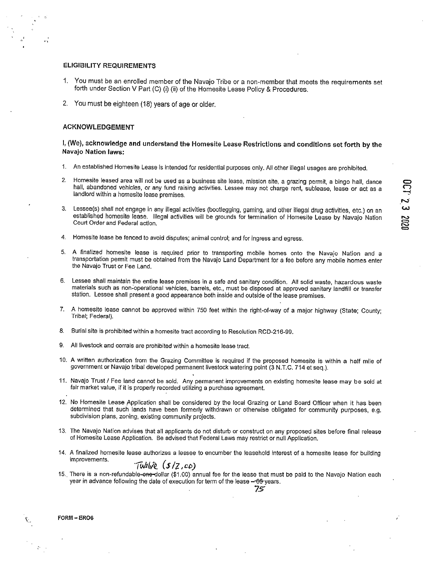#### **ELIGIBILITY REQUIREMENTS**

- 1. You must be an enrolled member of the Navajo Tribe or a non-member that meets the requirements set forth under Section V Part (C) (i) (ii) of the Homesite Lease Policy & Procedures.
- 2. You must be eighteen (18) years of age or older.

#### **ACKNOWLEDGEMENT**

#### I, (We), acknowledge and understand the Homesite Lease Restrictions and conditions set forth by the Navajo Nation laws:

- 1. An established Homesite Lease is intended for residential purposes only. All other illegal usages are prohibited.
- Homesite leased area will not be used as a business site lease, mission site, a grazing permit, a bingo hall, dance 2. hall, abandoned vehicles, or any fund raising activities. Lessee may not charge rent, sublease, lease or act as a landlord within a homesite lease premises.
- Lessee(s) shall not engage in any illegal activities (bootlegging, gaming, and other illegal drug activities, etc.) on an  $3<sub>1</sub>$ established homesite lease. Illegal activities will be grounds for termination of Homesite Lease by Navajo Nation Court Order and Federal action.
- $\overline{4}$ . Homesite lease be fenced to avoid disputes; animal control; and for ingress and egress.
- 5. A finalized homesite lease is required prior to transporting mobile homes onto the Navajo Nation and a transportation permit must be obtained from the Navajo Land Department for a fee before any mobile homes enter the Navajo Trust or Fee Land.
- 6. Lessee shall maintain the entire lease premises in a safe and sanitary condition. All solid waste, hazardous waste materials such as non-operational vehicles, barrels, etc., must be disposed at approved sanitary landfill or transfer station. Lessee shall present a good appearance both inside and outside of the lease premises.
- 7. A homesite lease cannot be approved within 750 feet within the right-of-way of a major highway (State; County; Tribal; Federal).
- 8. Burial site is prohibited within a homesite tract according to Resolution RCD-216-99.
- 9. All livestock and corrals are prohibited within a homesite lease tract.
- 10. A written authorization from the Grazing Committee is required if the proposed homesite is within a half mile of government or Navajo tribal developed permanent livestock watering point (3 N.T.C. 714 et seq.).
- 11. Navajo Trust / Fee land cannot be sold. Any permanent improvements on existing homesite lease may be sold at fair market value, if it is properly recorded utilizing a purchase agreement.
- 12. No Homesite Lease Application shall be considered by the local Grazing or Land Board Officer when it has been determined that such lands have been formerly withdrawn or otherwise obligated for community purposes, e.g. subdivision plans, zoning, existing community projects.
- 13. The Navajo Nation advises that all applicants do not disturb or construct on any proposed sites before final release of Homesite Lease Application. Be advised that Federal Laws may restrict or null Application.
- 14. A finalized homesite lease authorizes a lessee to encumber the leasehold interest of a homesite lease for building improvements.

#### $Turbile(S/Z, co)$

15. There is a non-refundable-one-dollar (\$1.00) annual fee for the lease that must be paid to the Navajo Nation each year in advance following the date of execution for term of the lease -65 years.

75

FORM-ERO6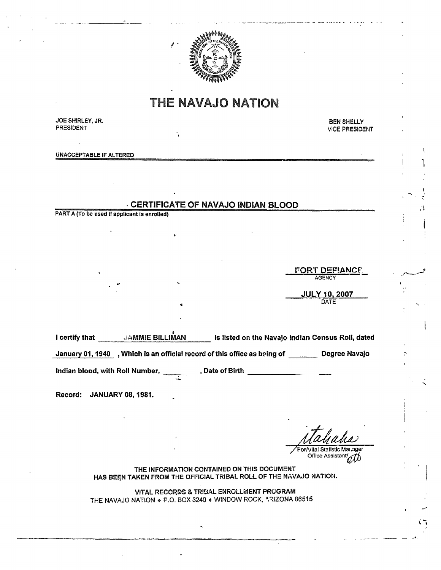

## **THE NAVAJO NATION**

JOE SHIRLEY, JR. PRESIDENT

**BEN SHELLY VICE PRESIDENT** 

**UNACCEPTABLE IF ALTERED** 

### **CERTIFICATE OF NAVAJO INDIAN BLOOD**

PART A (To be used if applicant is enrolled)

**FORT DEFIANCE AGENCY JULY 10, 2007** 

I certify that JAMMIE BILLIMAN Is listed on the Navajo Indian Census Roll, dated

January 01, 1940 , Which is an official record of this office as being of \_\_\_\_\_\_\_ Degree Navajo

Indian blood, with Roll Number,

, Date of Birth  $\overline{\phantom{a}}$ 

Record: JANUARY 08, 1981.

For/Vital Statistic Mar.ager

Office Assistant

THE INFORMATION CONTAINED ON THIS DOCUMENT HAS BEEN TAKEN FROM THE OFFICIAL TRIBAL ROLL OF THE NAVAJO NATION.

VITAL RECORDS & TRIBAL ENROLLMENT PROGRAM THE NAVAJO NATION . P.O. BOX 3240 . WINDOW ROCK, ARIZONA 86515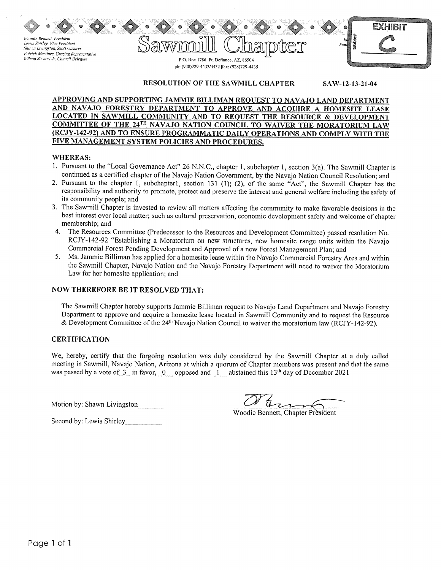**Voodie Bennett, President** Lewis Shirley, Vice President Shawn Livingston, Sec/Treasurer Patrick Martinez, Grazing Representative Wilson Stewart Jr, Council Delegate



#### RESOLUTION OF THE SAWMILL CHAPTER SAW-12-13-21-04

#### APPROVING AND SUPPORTING JAMMIE BILLIMAN REQUEST TO NAVAJO LAND DEPARTMENT AND NAVAJO FORESTRY DEPARTMENT TO APPROVE AND ACQUIRE A HOMESITE LEASE **LOCATED IN SAWMILL COMMUNITY AND TO REQUEST THE RESOURCE & DEVELOPMENT** COMMITTEE OF THE 24TH NAVAJO NATION COUNCIL TO WAIVER THE MORATORIUM LAW (RCJY-142-92) AND TO ENSURE PROGRAMMATIC DAILY OPERATIONS AND COMPLY WITH THE FIVE MANAGEMENT SYSTEM POLICIES AND PROCEDURES.

#### **WHEREAS:**

- 1. Pursuant to the "Local Governance Act" 26 N.N.C., chapter 1, subchapter 1, section 3(a). The Sawmill Chapter is continued as a certified chapter of the Navajo Nation Government, by the Navajo Nation Council Resolution; and
- 2. Pursuant to the chapter 1, subchapter1, section 131 (1); (2), of the same "Act", the Sawmill Chapter has the responsibility and authority to promote, protect and preserve the interest and general welfare including the safety of its community people; and
- 3. The Sawmill Chapter is invested to review all matters affecting the community to make favorable decisions in the best interest over local matter; such as cultural preservation, economic development safety and welcome of chapter membership; and
- 4. The Resources Committee (Predecessor to the Resources and Development Committee) passed resolution No. RCJY-142-92 "Establishing a Moratorium on new structures, new homesite range units within the Navajo Commercial Forest Pending Development and Approval of a new Forest Management Plan; and
- 5. Ms. Jammie Billiman has applied for a homesite lease within the Navajo Commercial Forestry Area and within the Sawmill Chapter, Navajo Nation and the Navajo Forestry Department will need to waiver the Moratorium Law for her homesite application; and

#### **NOW THEREFORE BE IT RESOLVED THAT:**

The Sawmill Chapter hereby supports Jammie Billiman request to Navajo Land Department and Navajo Forestry Department to approve and acquire a homesite lease located in Sawmill Community and to request the Resource & Development Committee of the 24<sup>th</sup> Navajo Nation Council to waiver the moratorium law (RCJY-142-92).

#### **CERTIFICATION**

We, hereby, certify that the forgoing resolution was duly considered by the Sawmill Chapter at a duly called meeting in Sawmill, Navajo Nation, Arizona at which a quorum of Chapter members was present and that the same was passed by a vote of 3 in favor, 0 opposed and 1 abstained this 13<sup>th</sup> day of December 2021

Motion by: Shawn Livingston

Woodie Bennett, Chapter President

Second by: Lewis Shirley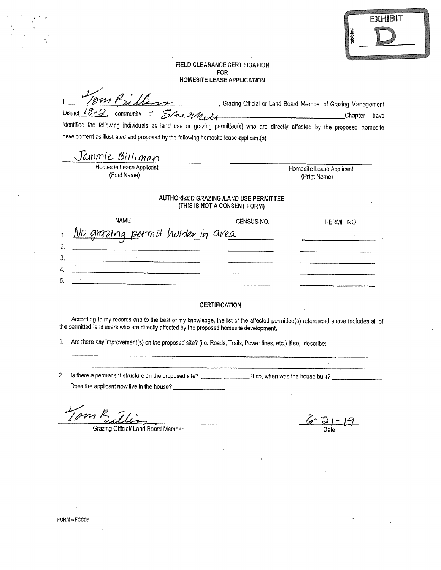|        | <b>EXHIBIT</b> |
|--------|----------------|
| idooti |                |
|        |                |

#### **FIELD CLEARANCE CERTIFICATION** FOR **HOMESITE LEASE APPLICATION**

|  | 1. Jong Billion |                                      | , Grazing Official or Land Board Member of Grazing Management |         |      |
|--|-----------------|--------------------------------------|---------------------------------------------------------------|---------|------|
|  |                 | District $18.2$ community of $54.21$ |                                                               | Chapter | have |

identified the following individuals as land use or grazing permittee(s) who are directly affected by the proposed homesite development as illustrated and proposed by the following homesite lease applicant(s);

| Jammie Billiman          |                          |
|--------------------------|--------------------------|
| Homesite Lease Applicant | Homesite Lease Applicant |
| (Print Name)             | (Print Name)             |

#### **AUTHORIZED GRAZING /LAND USE PERMITTEE** (THIS IS NOT A CONSENT FORM)

|                | NAME                             | CENSUS NO. | PERMIT NO. |
|----------------|----------------------------------|------------|------------|
| 1 <sub>1</sub> | No grazing permit hulder in area |            |            |
|                |                                  |            |            |
| 3              |                                  |            |            |
| 4              |                                  |            |            |
| G              |                                  |            |            |

#### **CERTIFICATION**

According to my records and to the best of my knowledge, the list of the affected permittee(s) referenced above includes all of the permitted land users who are directly affected by the proposed homesite development.

1. Are there any improvement(s) on the proposed site? (i.e. Roads, Trails, Power lines, etc.) If so, describe:

Does the applicant now live in the house?

Am $K$ 

Grazing Official/ Land Board Member

 $6 - 21 - 19$ 

 $\mathcal{L}^{\pm}$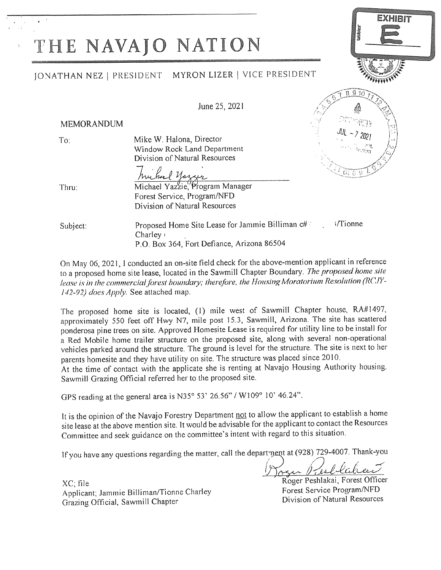# THE NAVAJO NATION

### JONATHAN NEZ | PRESIDENT MYRON LIZER | VICE PRESIDENT

June 25, 2021

#### **MEMORANDUM**

 $To:$ 

Mike W. Halona, Director Window Rock Land Department Division of Natural Resources

 $970$ 8

Thru:

huchard Yazzur<br>Michael Yazzie, Program Manager Forest Service, Program/NFD Division of Natural Resources

Proposed Home Site Lease for Jammie Billiman c# i/Tionne Subject: Charley ( P.O. Box 364, Fort Defiance, Arizona 86504

On May 06, 2021, I conducted an on-site field check for the above-mention applicant in reference to a proposed home site lease, located in the Sawmill Chapter Boundary. The proposed home site lease is in the commercial forest boundary; therefore, the Housing Moratorium Resolution (RCJY-142-92) does Apply. See attached map.

The proposed home site is located, (1) mile west of Sawmill Chapter house, RA#1497, approximately 550 feet off Hwy N7, mile post 15.3, Sawmill, Arizona. The site has scattered ponderosa pine trees on site. Approved Homesite Lease is required for utility line to be install for a Red Mobile home trailer structure on the proposed site, along with several non-operational vehicles parked around the structure. The ground is level for the structure. The site is next to her parents homesite and they have utility on site. The structure was placed since 2010.

At the time of contact with the applicate she is renting at Navajo Housing Authority housing. Sawmill Grazing Official referred her to the proposed site.

GPS reading at the general area is N35° 53' 26.56" / W109° 10' 46.24".

It is the opinion of the Navajo Forestry Department not to allow the applicant to establish a home site lease at the above mention site. It would be advisable for the applicant to contact the Resources Committee and seek guidance on the committee's intent with regard to this situation.

If you have any questions regarding the matter, call the department at (928) 729-4007. Thank-you

XC, file Applicant; Jammie Billiman/Tionne Charley Grazing Official, Sawmill Chapter

Roger Peshlakai, Forest Officer Forest Service Program/NFD Division of Natural Resources